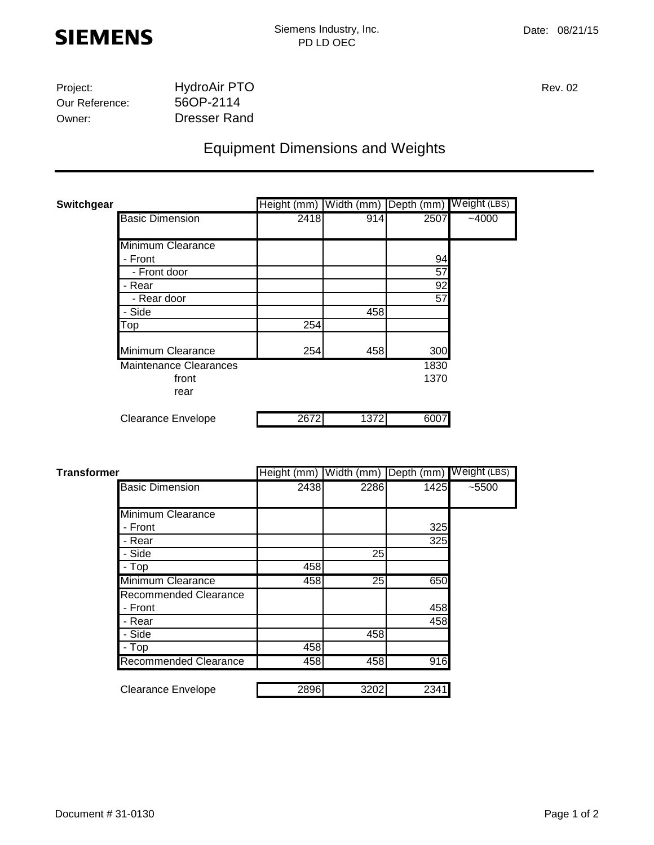

| Project:       | <b>HydroAir PTO</b> | <b>Rev. 02</b> |
|----------------|---------------------|----------------|
| Our Reference: | 56OP-2114           |                |
| Owner:         | Dresser Rand        |                |

## Equipment Dimensions and Weights

| <b>Switchgear</b> |                               | Height (mm) |      | Width (mm) Depth (mm) Weight (LBS) |         |
|-------------------|-------------------------------|-------------|------|------------------------------------|---------|
|                   | <b>Basic Dimension</b>        | 2418        | 914  | 2507                               | $-4000$ |
|                   | Minimum Clearance             |             |      |                                    |         |
|                   | - Front                       |             |      | 94                                 |         |
|                   | - Front door                  |             |      | 57                                 |         |
|                   | - Rear                        |             |      | 92                                 |         |
|                   | - Rear door                   |             |      | 57                                 |         |
|                   | - Side                        |             | 458  |                                    |         |
|                   | Top                           | 254         |      |                                    |         |
|                   | Minimum Clearance             | 254         | 458  | 300                                |         |
|                   | <b>Maintenance Clearances</b> |             |      | 1830                               |         |
|                   | front                         |             |      | 1370                               |         |
|                   | rear                          |             |      |                                    |         |
|                   | <b>Clearance Envelope</b>     | 2672        | 1372 | 6007                               |         |

| <b>Transformer</b> |                              | Height (mm) Width (mm) Depth (mm) Weight (LBS) |                 |      |         |
|--------------------|------------------------------|------------------------------------------------|-----------------|------|---------|
|                    | <b>Basic Dimension</b>       | 2438                                           | 2286            | 1425 | $-5500$ |
|                    | Minimum Clearance            |                                                |                 |      |         |
|                    | - Front                      |                                                |                 | 325  |         |
|                    | - Rear                       |                                                |                 | 325  |         |
|                    | - Side                       |                                                | 25              |      |         |
|                    | - Top                        | 458                                            |                 |      |         |
|                    | <b>Minimum Clearance</b>     | 458                                            | $\overline{25}$ | 650  |         |
|                    | Recommended Clearance        |                                                |                 |      |         |
|                    | - Front                      |                                                |                 | 458  |         |
|                    | - Rear                       |                                                |                 | 458  |         |
|                    | - Side                       |                                                | 458             |      |         |
|                    | - Top                        | 458                                            |                 |      |         |
|                    | <b>Recommended Clearance</b> | 458                                            | 458             | 916  |         |
|                    | <b>Clearance Envelope</b>    | 2896                                           | 3202            | 2341 |         |
|                    |                              |                                                |                 |      |         |